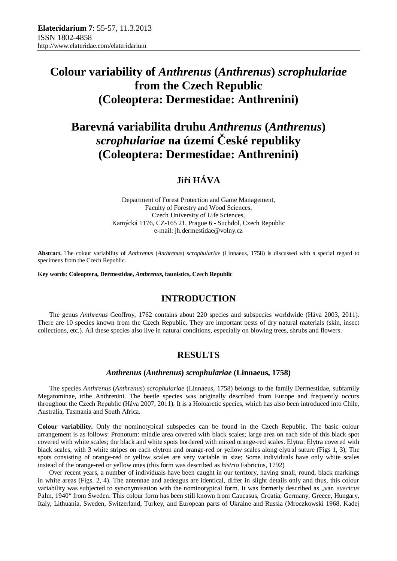# **Colour variability of** *Anthrenus* **(***Anthrenus***)** *scrophulariae* **from the Czech Republic (Coleoptera: Dermestidae: Anthrenini)**

# **Barevná variabilita druhu** *Anthrenus* **(***Anthrenus***)**  *scrophulariae* **na území České republiky (Coleoptera: Dermestidae: Anthrenini)**

## **Jiří HÁVA**

Department of Forest Protection and Game Management, Faculty of Forestry and Wood Sciences, Czech University of Life Sciences, Kamýcká 1176, CZ-165 21, Prague 6 - Suchdol, Czech Republic e-mail: jh.dermestidae@volny.cz

**Abstract.** The colour variability of *Anthrenus* (*Anthrenus*) *scrophulariae* (Linnaeus, 1758) is discussed with a special regard to specimens from the Czech Republic.

**Key words: Coleoptera, Dermestidae,** *Anthrenus***, faunistics, Czech Republic**

### **INTRODUCTION**

The genus *Anthrenus* Geoffroy, 1762 contains about 220 species and subspecies worldwide (Háva 2003, 2011). There are 10 species known from the Czech Republic. They are important pests of dry natural materials (skin, insect collections, etc.). All these species also live in natural conditions, especially on blowing trees, shrubs and flowers.

### **RESULTS**

### *Anthrenus* **(***Anthrenus***)** *scrophulariae* **(Linnaeus, 1758)**

The species *Anthrenus* (*Anthrenus*) *scrophulariae* (Linnaeus, 1758) belongs to the family Dermestidae, subfamily Megatominae, tribe Anthrenini. The beetle species was originally described from Europe and frequently occurs throughout the Czech Republic (Háva 2007, 2011). It is a Holoarctic species, which has also been introduced into Chile, Australia, Tasmania and South Africa.

**Colour variability.** Only the nominotypical subspecies can be found in the Czech Republic. The basic colour arrangement is as follows: Pronotum: middle area covered with black scales; large area on each side of this black spot covered with white scales; the black and white spots bordered with mixed orange-red scales. Elytra: Elytra covered with black scales, with 3 white stripes on each elytron and orange-red or yellow scales along elytral suture (Figs 1, 3); The spots consisting of orange-red or yellow scales are very variable in size; Some individuals have only white scales instead of the orange-red or yellow ones (this form was described as *histrio* Fabricius, 1792)

Over recent years, a number of individuals have been caught in our territory, having small, round, black markings in white areas (Figs. 2, 4). The antennae and aedeagus are identical, differ in slight details only and thus, this colour variability was subjected to synonymisation with the nominotypical form. It was formerly described as "var. *suecicus* Palm, 1940" from Sweden. This colour form has been still known from Caucasus, Croatia, Germany, Greece, Hungary, Italy, Lithuania, Sweden, Switzerland, Turkey, and European parts of Ukraine and Russia (Mroczkowski 1968, Kadej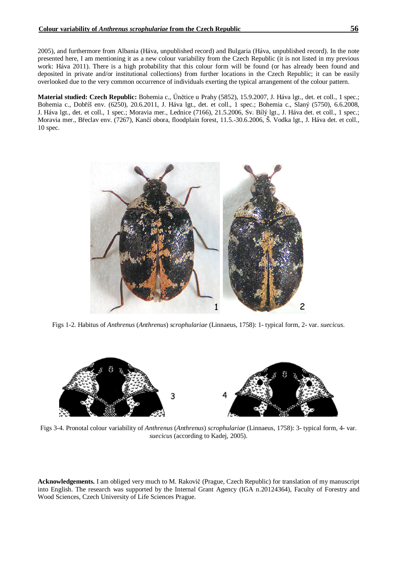2005), and furthermore from Albania (Háva, unpublished record) and Bulgaria (Háva, unpublished record). In the note presented here, I am mentioning it as a new colour variability from the Czech Republic (it is not listed in my previous work: Háva 2011). There is a high probability that this colour form will be found (or has already been found and deposited in private and/or institutional collections) from further locations in the Czech Republic; it can be easily overlooked due to the very common occurrence of individuals exerting the typical arrangement of the colour pattern.

**Material studied: Czech Republic:** Bohemia c., Únětice u Prahy (5852), 15.9.2007, J. Háva lgt., det. et coll., 1 spec.; Bohemia c., Dobříš env. (6250), 20.6.2011, J. Háva lgt., det. et coll., 1 spec.; Bohemia c., Slaný (5750), 6.6.2008, J. Háva lgt., det. et coll., 1 spec.; Moravia mer., Lednice (7166), 21.5.2006, Sv. Bílý lgt., J. Háva det. et coll., 1 spec.; Moravia mer., Břeclav env. (7267), Kančí obora, floodplain forest, 11.5.-30.6.2006, Š. Vodka lgt., J. Háva det. et coll., 10 spec.



Figs 1-2. Habitus of *Anthrenus* (*Anthrenus*) *scrophulariae* (Linnaeus, 1758): 1- typical form, 2- var. *suecicus*.



Figs 3-4. Pronotal colour variability of *Anthrenus* (*Anthrenus*) *scrophulariae* (Linnaeus, 1758): 3- typical form, 4- var. *suecicus* (according to Kadej, 2005).

**Acknowledgements.** I am obliged very much to M. Rakovič (Prague, Czech Republic) for translation of my manuscript into English. The research was supported by the Internal Grant Agency (IGA n.20124364), Faculty of Forestry and Wood Sciences, Czech University of Life Sciences Prague.